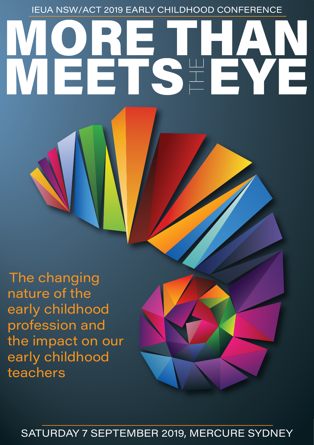IEUA NSW/ACT 2019 EARLY CHILDHOOD CONFERENCE

# 

The changing nature of the early childhood profession and the impact on our early childhood teachers



SATURDAY 7 SEPTEMBER 2019, MERCURE SYDNEY